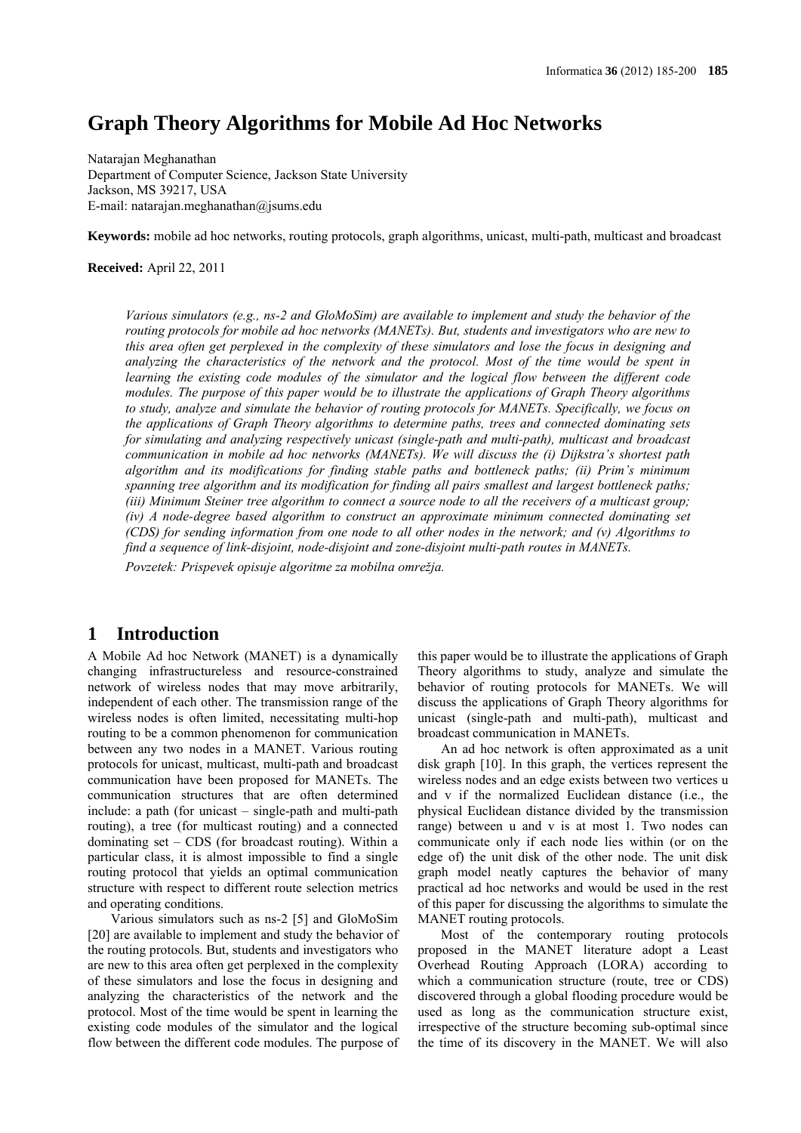# **Graph Theory Algorithms for Mobile Ad Hoc Networks**

Natarajan Meghanathan Department of Computer Science, Jackson State University Jackson, MS 39217, USA E-mail: natarajan.meghanathan@jsums.edu

**Keywords:** mobile ad hoc networks, routing protocols, graph algorithms, unicast, multi-path, multicast and broadcast

### **Received:** April 22, 2011

*Various simulators (e.g., ns-2 and GloMoSim) are available to implement and study the behavior of the routing protocols for mobile ad hoc networks (MANETs). But, students and investigators who are new to this area often get perplexed in the complexity of these simulators and lose the focus in designing and analyzing the characteristics of the network and the protocol. Most of the time would be spent in learning the existing code modules of the simulator and the logical flow between the different code modules. The purpose of this paper would be to illustrate the applications of Graph Theory algorithms to study, analyze and simulate the behavior of routing protocols for MANETs. Specifically, we focus on the applications of Graph Theory algorithms to determine paths, trees and connected dominating sets for simulating and analyzing respectively unicast (single-path and multi-path), multicast and broadcast communication in mobile ad hoc networks (MANETs). We will discuss the (i) Dijkstra's shortest path algorithm and its modifications for finding stable paths and bottleneck paths; (ii) Prim's minimum spanning tree algorithm and its modification for finding all pairs smallest and largest bottleneck paths; (iii) Minimum Steiner tree algorithm to connect a source node to all the receivers of a multicast group; (iv) A node-degree based algorithm to construct an approximate minimum connected dominating set (CDS) for sending information from one node to all other nodes in the network; and (v) Algorithms to find a sequence of link-disjoint, node-disjoint and zone-disjoint multi-path routes in MANETs.*

*Povzetek: Prispevek opisuje algoritme za mobilna omrežja.*

### **1 Introduction**

A Mobile Ad hoc Network (MANET) is a dynamically changing infrastructureless and resource-constrained network of wireless nodes that may move arbitrarily, independent of each other. The transmission range of the wireless nodes is often limited, necessitating multi-hop routing to be a common phenomenon for communication between any two nodes in a MANET. Various routing protocols for unicast, multicast, multi-path and broadcast communication have been proposed for MANETs. The communication structures that are often determined include: a path (for unicast – single-path and multi-path routing), a tree (for multicast routing) and a connected dominating set – CDS (for broadcast routing). Within a particular class, it is almost impossible to find a single routing protocol that yields an optimal communication structure with respect to different route selection metrics and operating conditions.

Various simulators such as ns-2 [5] and GloMoSim [20] are available to implement and study the behavior of the routing protocols. But, students and investigators who are new to this area often get perplexed in the complexity of these simulators and lose the focus in designing and analyzing the characteristics of the network and the protocol. Most of the time would be spent in learning the existing code modules of the simulator and the logical flow between the different code modules. The purpose of this paper would be to illustrate the applications of Graph Theory algorithms to study, analyze and simulate the behavior of routing protocols for MANETs. We will discuss the applications of Graph Theory algorithms for unicast (single-path and multi-path), multicast and broadcast communication in MANETs.

An ad hoc network is often approximated as a unit disk graph [10]. In this graph, the vertices represent the wireless nodes and an edge exists between two vertices u and v if the normalized Euclidean distance (i.e., the physical Euclidean distance divided by the transmission range) between u and v is at most 1. Two nodes can communicate only if each node lies within (or on the edge of) the unit disk of the other node. The unit disk graph model neatly captures the behavior of many practical ad hoc networks and would be used in the rest of this paper for discussing the algorithms to simulate the MANET routing protocols.

Most of the contemporary routing protocols proposed in the MANET literature adopt a Least Overhead Routing Approach (LORA) according to which a communication structure (route, tree or CDS) discovered through a global flooding procedure would be used as long as the communication structure exist, irrespective of the structure becoming sub-optimal since the time of its discovery in the MANET. We will also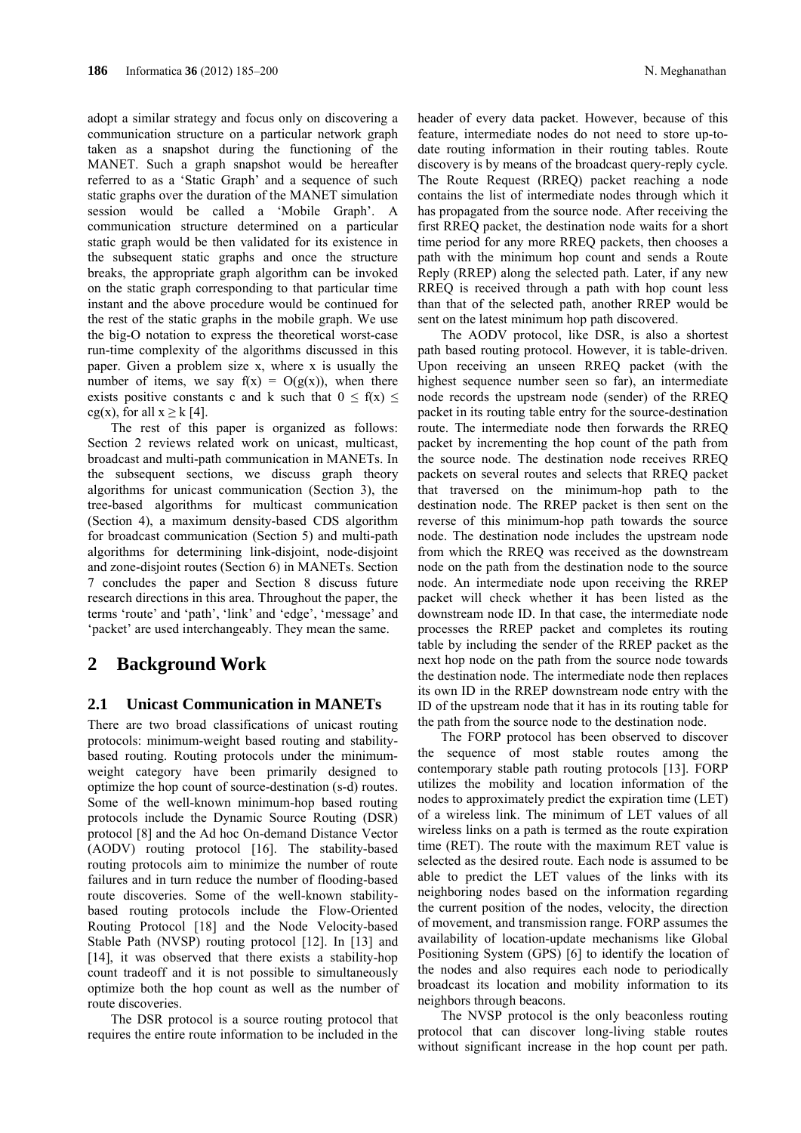adopt a similar strategy and focus only on discovering a communication structure on a particular network graph taken as a snapshot during the functioning of the MANET. Such a graph snapshot would be hereafter referred to as a 'Static Graph' and a sequence of such static graphs over the duration of the MANET simulation session would be called a 'Mobile Graph'. A communication structure determined on a particular static graph would be then validated for its existence in the subsequent static graphs and once the structure breaks, the appropriate graph algorithm can be invoked on the static graph corresponding to that particular time instant and the above procedure would be continued for the rest of the static graphs in the mobile graph. We use the big-O notation to express the theoretical worst-case run-time complexity of the algorithms discussed in this paper. Given a problem size x, where x is usually the number of items, we say  $f(x) = O(g(x))$ , when there exists positive constants c and k such that  $0 \le f(x) \le$ cg(x), for all  $x \ge k$  [4].

The rest of this paper is organized as follows: Section 2 reviews related work on unicast, multicast, broadcast and multi-path communication in MANETs. In the subsequent sections, we discuss graph theory algorithms for unicast communication (Section 3), the tree-based algorithms for multicast communication (Section 4), a maximum density-based CDS algorithm for broadcast communication (Section 5) and multi-path algorithms for determining link-disjoint, node-disjoint and zone-disjoint routes (Section 6) in MANETs. Section 7 concludes the paper and Section 8 discuss future research directions in this area. Throughout the paper, the terms 'route' and 'path', 'link' and 'edge', 'message' and 'packet' are used interchangeably. They mean the same.

## **2 Background Work**

### **2.1 Unicast Communication in MANETs**

There are two broad classifications of unicast routing protocols: minimum-weight based routing and stabilitybased routing. Routing protocols under the minimumweight category have been primarily designed to optimize the hop count of source-destination (s-d) routes. Some of the well-known minimum-hop based routing protocols include the Dynamic Source Routing (DSR) protocol [8] and the Ad hoc On-demand Distance Vector (AODV) routing protocol [16]. The stability-based routing protocols aim to minimize the number of route failures and in turn reduce the number of flooding-based route discoveries. Some of the well-known stabilitybased routing protocols include the Flow-Oriented Routing Protocol [18] and the Node Velocity-based Stable Path (NVSP) routing protocol [12]. In [13] and [14], it was observed that there exists a stability-hop count tradeoff and it is not possible to simultaneously optimize both the hop count as well as the number of route discoveries.

The DSR protocol is a source routing protocol that requires the entire route information to be included in the

header of every data packet. However, because of this feature, intermediate nodes do not need to store up-todate routing information in their routing tables. Route discovery is by means of the broadcast query-reply cycle. The Route Request (RREQ) packet reaching a node contains the list of intermediate nodes through which it has propagated from the source node. After receiving the first RREQ packet, the destination node waits for a short time period for any more RREQ packets, then chooses a path with the minimum hop count and sends a Route Reply (RREP) along the selected path. Later, if any new RREQ is received through a path with hop count less than that of the selected path, another RREP would be sent on the latest minimum hop path discovered.

The AODV protocol, like DSR, is also a shortest path based routing protocol. However, it is table-driven. Upon receiving an unseen RREQ packet (with the highest sequence number seen so far), an intermediate node records the upstream node (sender) of the RREQ packet in its routing table entry for the source-destination route. The intermediate node then forwards the RREQ packet by incrementing the hop count of the path from the source node. The destination node receives RREQ packets on several routes and selects that RREQ packet that traversed on the minimum-hop path to the destination node. The RREP packet is then sent on the reverse of this minimum-hop path towards the source node. The destination node includes the upstream node from which the RREQ was received as the downstream node on the path from the destination node to the source node. An intermediate node upon receiving the RREP packet will check whether it has been listed as the downstream node ID. In that case, the intermediate node processes the RREP packet and completes its routing table by including the sender of the RREP packet as the next hop node on the path from the source node towards the destination node. The intermediate node then replaces its own ID in the RREP downstream node entry with the ID of the upstream node that it has in its routing table for the path from the source node to the destination node.

The FORP protocol has been observed to discover the sequence of most stable routes among the contemporary stable path routing protocols [13]. FORP utilizes the mobility and location information of the nodes to approximately predict the expiration time (LET) of a wireless link. The minimum of LET values of all wireless links on a path is termed as the route expiration time (RET). The route with the maximum RET value is selected as the desired route. Each node is assumed to be able to predict the LET values of the links with its neighboring nodes based on the information regarding the current position of the nodes, velocity, the direction of movement, and transmission range. FORP assumes the availability of location-update mechanisms like Global Positioning System (GPS) [6] to identify the location of the nodes and also requires each node to periodically broadcast its location and mobility information to its neighbors through beacons.

The NVSP protocol is the only beaconless routing protocol that can discover long-living stable routes without significant increase in the hop count per path.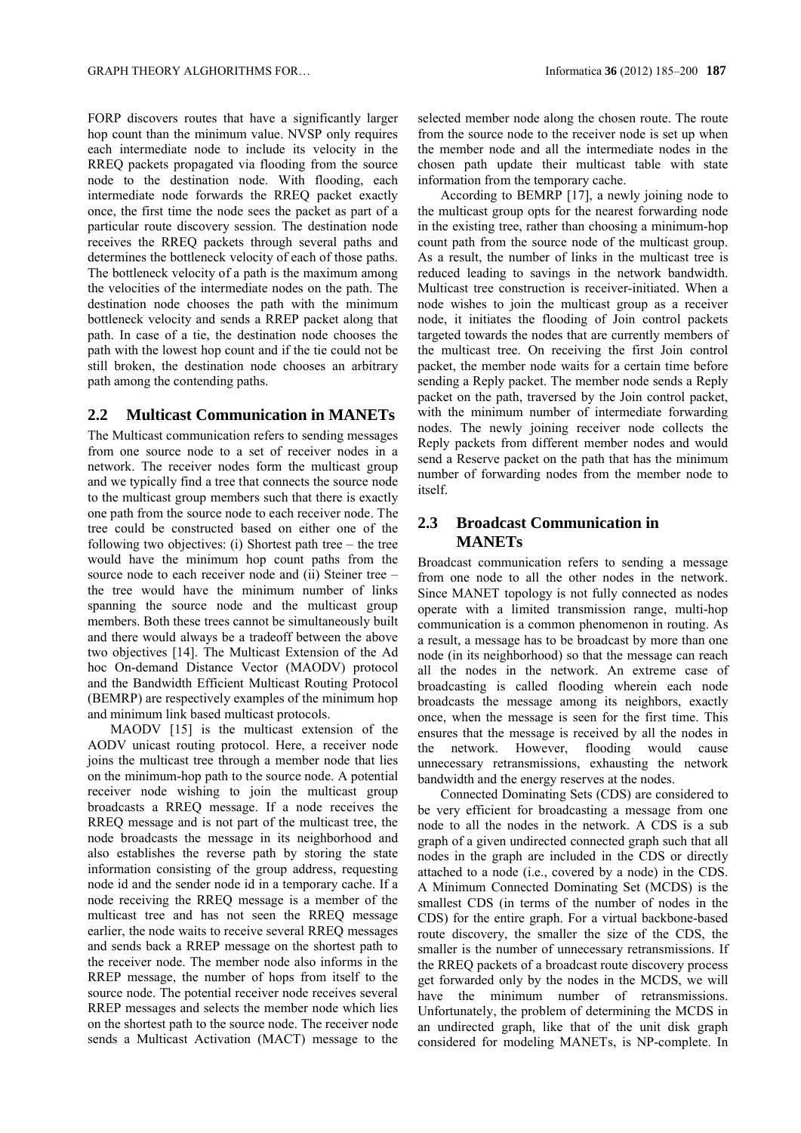FORP discovers routes that have a significantly larger hop count than the minimum value. NVSP only requires each intermediate node to include its velocity in the RREQ packets propagated via flooding from the source node to the destination node. With flooding, each intermediate node forwards the RREQ packet exactly once, the first time the node sees the packet as part of a particular route discovery session. The destination node receives the RREQ packets through several paths and determines the bottleneck velocity of each of those paths. The bottleneck velocity of a path is the maximum among the velocities of the intermediate nodes on the path. The destination node chooses the path with the minimum bottleneck velocity and sends a RREP packet along that path. In case of a tie, the destination node chooses the path with the lowest hop count and if the tie could not be still broken, the destination node chooses an arbitrary path among the contending paths.

### **2.2 Multicast Communication in MANETs**

The Multicast communication refers to sending messages from one source node to a set of receiver nodes in a network. The receiver nodes form the multicast group and we typically find a tree that connects the source node to the multicast group members such that there is exactly one path from the source node to each receiver node. The tree could be constructed based on either one of the following two objectives: (i) Shortest path tree – the tree would have the minimum hop count paths from the source node to each receiver node and (ii) Steiner tree – the tree would have the minimum number of links spanning the source node and the multicast group members. Both these trees cannot be simultaneously built and there would always be a tradeoff between the above two objectives [14]. The Multicast Extension of the Ad hoc On-demand Distance Vector (MAODV) protocol and the Bandwidth Efficient Multicast Routing Protocol (BEMRP) are respectively examples of the minimum hop and minimum link based multicast protocols.

MAODV [15] is the multicast extension of the AODV unicast routing protocol. Here, a receiver node joins the multicast tree through a member node that lies on the minimum-hop path to the source node. A potential receiver node wishing to join the multicast group broadcasts a RREQ message. If a node receives the RREQ message and is not part of the multicast tree, the node broadcasts the message in its neighborhood and also establishes the reverse path by storing the state information consisting of the group address, requesting node id and the sender node id in a temporary cache. If a node receiving the RREQ message is a member of the multicast tree and has not seen the RREQ message earlier, the node waits to receive several RREQ messages and sends back a RREP message on the shortest path to the receiver node. The member node also informs in the RREP message, the number of hops from itself to the source node. The potential receiver node receives several RREP messages and selects the member node which lies on the shortest path to the source node. The receiver node sends a Multicast Activation (MACT) message to the

selected member node along the chosen route. The route from the source node to the receiver node is set up when the member node and all the intermediate nodes in the chosen path update their multicast table with state information from the temporary cache.

According to BEMRP [17], a newly joining node to the multicast group opts for the nearest forwarding node in the existing tree, rather than choosing a minimum-hop count path from the source node of the multicast group. As a result, the number of links in the multicast tree is reduced leading to savings in the network bandwidth. Multicast tree construction is receiver-initiated. When a node wishes to join the multicast group as a receiver node, it initiates the flooding of Join control packets targeted towards the nodes that are currently members of the multicast tree. On receiving the first Join control packet, the member node waits for a certain time before sending a Reply packet. The member node sends a Reply packet on the path, traversed by the Join control packet, with the minimum number of intermediate forwarding nodes. The newly joining receiver node collects the Reply packets from different member nodes and would send a Reserve packet on the path that has the minimum number of forwarding nodes from the member node to itself.

### **2.3 Broadcast Communication in MANETs**

Broadcast communication refers to sending a message from one node to all the other nodes in the network. Since MANET topology is not fully connected as nodes operate with a limited transmission range, multi-hop communication is a common phenomenon in routing. As a result, a message has to be broadcast by more than one node (in its neighborhood) so that the message can reach all the nodes in the network. An extreme case of broadcasting is called flooding wherein each node broadcasts the message among its neighbors, exactly once, when the message is seen for the first time. This ensures that the message is received by all the nodes in the network. However, flooding would cause unnecessary retransmissions, exhausting the network bandwidth and the energy reserves at the nodes.

Connected Dominating Sets (CDS) are considered to be very efficient for broadcasting a message from one node to all the nodes in the network. A CDS is a sub graph of a given undirected connected graph such that all nodes in the graph are included in the CDS or directly attached to a node (i.e., covered by a node) in the CDS. A Minimum Connected Dominating Set (MCDS) is the smallest CDS (in terms of the number of nodes in the CDS) for the entire graph. For a virtual backbone-based route discovery, the smaller the size of the CDS, the smaller is the number of unnecessary retransmissions. If the RREQ packets of a broadcast route discovery process get forwarded only by the nodes in the MCDS, we will have the minimum number of retransmissions. Unfortunately, the problem of determining the MCDS in an undirected graph, like that of the unit disk graph considered for modeling MANETs, is NP-complete. In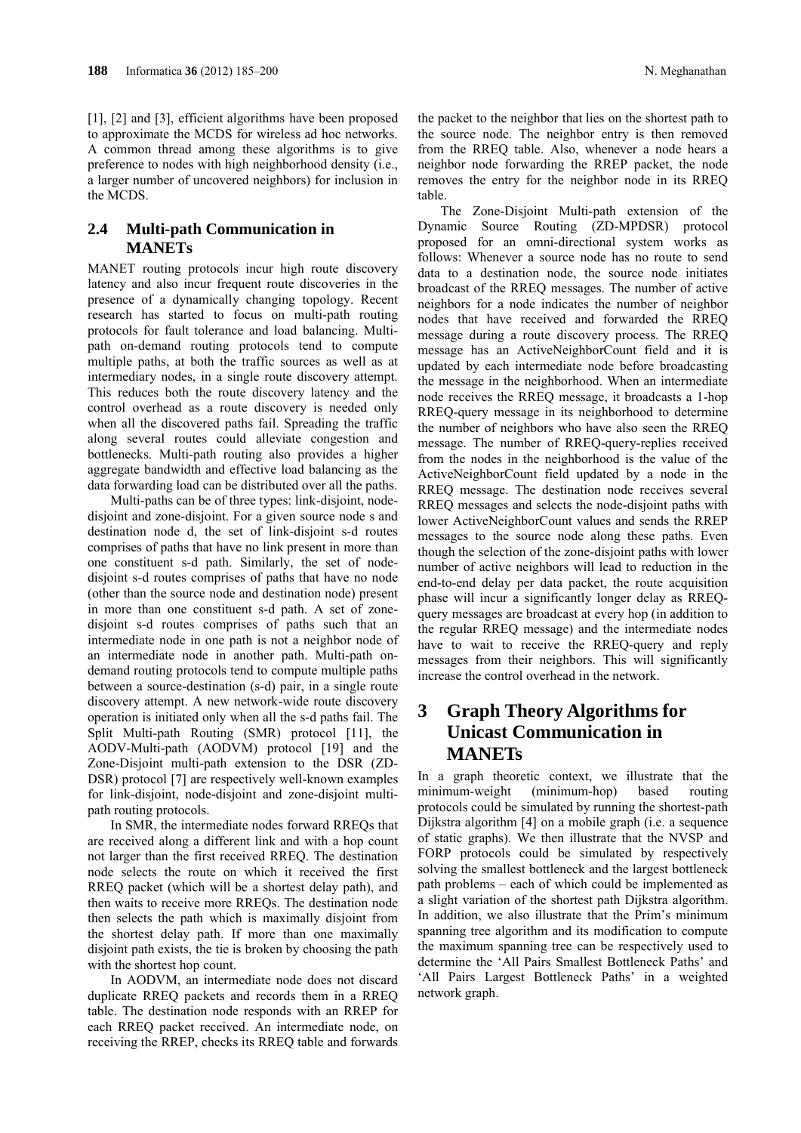[1], [2] and [3], efficient algorithms have been proposed to approximate the MCDS for wireless ad hoc networks. A common thread among these algorithms is to give preference to nodes with high neighborhood density (i.e., a larger number of uncovered neighbors) for inclusion in the MCDS.

### **2.4 Multi-path Communication in MANETs**

MANET routing protocols incur high route discovery latency and also incur frequent route discoveries in the presence of a dynamically changing topology. Recent research has started to focus on multi-path routing protocols for fault tolerance and load balancing. Multipath on-demand routing protocols tend to compute multiple paths, at both the traffic sources as well as at intermediary nodes, in a single route discovery attempt. This reduces both the route discovery latency and the control overhead as a route discovery is needed only when all the discovered paths fail. Spreading the traffic along several routes could alleviate congestion and bottlenecks. Multi-path routing also provides a higher aggregate bandwidth and effective load balancing as the data forwarding load can be distributed over all the paths.

Multi-paths can be of three types: link-disjoint, nodedisjoint and zone-disjoint. For a given source node s and destination node d, the set of link-disjoint s-d routes comprises of paths that have no link present in more than one constituent s-d path. Similarly, the set of nodedisjoint s-d routes comprises of paths that have no node (other than the source node and destination node) present in more than one constituent s-d path. A set of zonedisjoint s-d routes comprises of paths such that an intermediate node in one path is not a neighbor node of an intermediate node in another path. Multi-path ondemand routing protocols tend to compute multiple paths between a source-destination (s-d) pair, in a single route discovery attempt. A new network-wide route discovery operation is initiated only when all the s-d paths fail. The Split Multi-path Routing (SMR) protocol [11], the AODV-Multi-path (AODVM) protocol [19] and the Zone-Disjoint multi-path extension to the DSR (ZD-DSR) protocol [7] are respectively well-known examples for link-disjoint, node-disjoint and zone-disjoint multipath routing protocols.

In SMR, the intermediate nodes forward RREQs that are received along a different link and with a hop count not larger than the first received RREQ. The destination node selects the route on which it received the first RREQ packet (which will be a shortest delay path), and then waits to receive more RREQs. The destination node then selects the path which is maximally disjoint from the shortest delay path. If more than one maximally disjoint path exists, the tie is broken by choosing the path with the shortest hop count.

In AODVM, an intermediate node does not discard duplicate RREQ packets and records them in a RREQ table. The destination node responds with an RREP for each RREQ packet received. An intermediate node, on receiving the RREP, checks its RREQ table and forwards

the packet to the neighbor that lies on the shortest path to the source node. The neighbor entry is then removed from the RREQ table. Also, whenever a node hears a neighbor node forwarding the RREP packet, the node removes the entry for the neighbor node in its RREQ table.

The Zone-Disjoint Multi-path extension of the Dynamic Source Routing (ZD-MPDSR) protocol proposed for an omni-directional system works as follows: Whenever a source node has no route to send data to a destination node, the source node initiates broadcast of the RREQ messages. The number of active neighbors for a node indicates the number of neighbor nodes that have received and forwarded the RREQ message during a route discovery process. The RREQ message has an ActiveNeighborCount field and it is updated by each intermediate node before broadcasting the message in the neighborhood. When an intermediate node receives the RREQ message, it broadcasts a 1-hop RREQ-query message in its neighborhood to determine the number of neighbors who have also seen the RREQ message. The number of RREQ-query-replies received from the nodes in the neighborhood is the value of the ActiveNeighborCount field updated by a node in the RREQ message. The destination node receives several RREQ messages and selects the node-disjoint paths with lower ActiveNeighborCount values and sends the RREP messages to the source node along these paths. Even though the selection of the zone-disjoint paths with lower number of active neighbors will lead to reduction in the end-to-end delay per data packet, the route acquisition phase will incur a significantly longer delay as RREQquery messages are broadcast at every hop (in addition to the regular RREQ message) and the intermediate nodes have to wait to receive the RREQ-query and reply messages from their neighbors. This will significantly increase the control overhead in the network.

# **3 Graph Theory Algorithms for Unicast Communication in MANETs**

In a graph theoretic context, we illustrate that the minimum-weight (minimum-hop) based routing protocols could be simulated by running the shortest-path Dijkstra algorithm [4] on a mobile graph (i.e. a sequence of static graphs). We then illustrate that the NVSP and FORP protocols could be simulated by respectively solving the smallest bottleneck and the largest bottleneck path problems – each of which could be implemented as a slight variation of the shortest path Dijkstra algorithm. In addition, we also illustrate that the Prim's minimum spanning tree algorithm and its modification to compute the maximum spanning tree can be respectively used to determine the 'All Pairs Smallest Bottleneck Paths' and 'All Pairs Largest Bottleneck Paths' in a weighted network graph.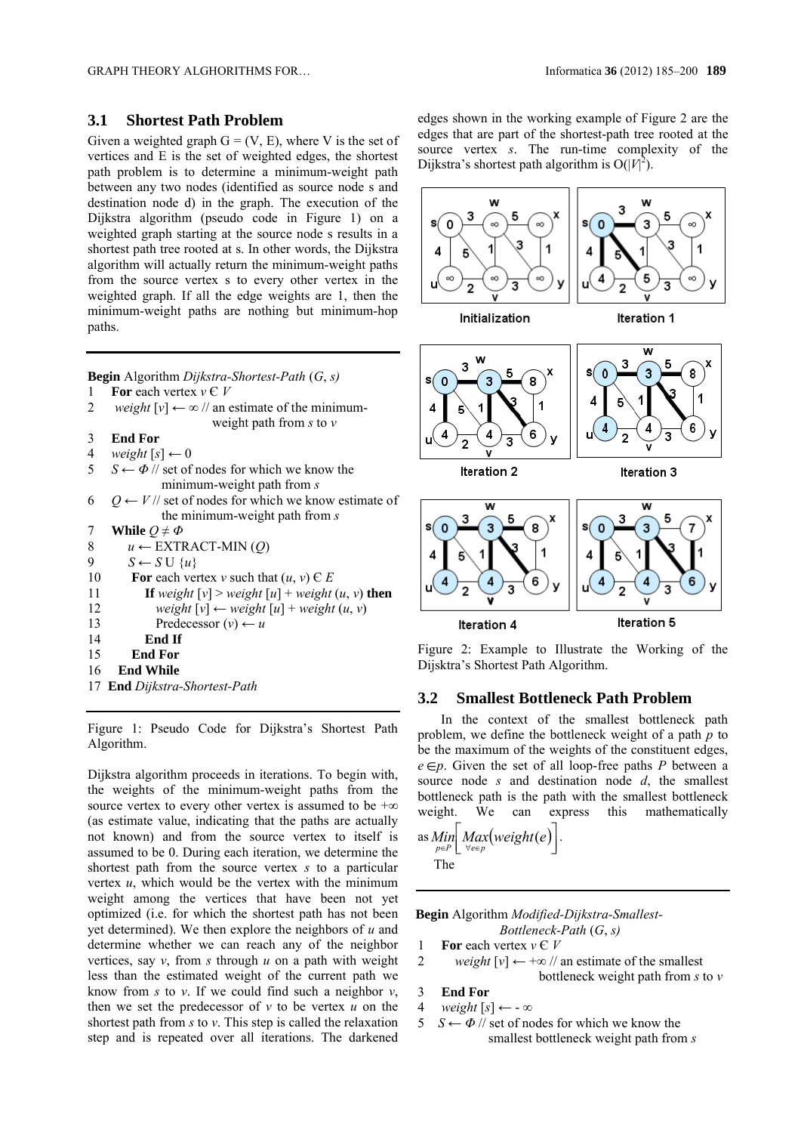### **3.1 Shortest Path Problem**

Given a weighted graph  $G = (V, E)$ , where V is the set of vertices and E is the set of weighted edges, the shortest path problem is to determine a minimum-weight path between any two nodes (identified as source node s and destination node d) in the graph. The execution of the Dijkstra algorithm (pseudo code in Figure 1) on a weighted graph starting at the source node s results in a shortest path tree rooted at s. In other words, the Dijkstra algorithm will actually return the minimum-weight paths from the source vertex s to every other vertex in the weighted graph. If all the edge weights are 1, then the minimum-weight paths are nothing but minimum-hop paths.

**Begin** Algorithm *Dijkstra-Shortest-Path* (*G*, *s)*

- 1 **For** each vertex  $v \in V$
- 2 *weight*  $[v] \leftarrow \infty / \ell$  an estimate of the minimumweight path from *s* to *v*
- 3**End For**
- 4 *weight*  $[s] \leftarrow 0$
- 5 *S* ← *Φ* // set of nodes for which we know the
- minimum-weight path from *s* 6  $Q \leftarrow V$  // set of nodes for which we know estimate of
- the minimum-weight path from *s*
- 7 **While**  $Q \neq \Phi$
- 8 *u ←* EXTRACT-MIN (*Q*)
- 9  $S \leftarrow S \cup \{u\}$
- 10 **For** each vertex *v* such that  $(u, v) \in E$
- 11 **If** weight  $[v] > weight[u] + weight(u, v)$  then
- 12 *weight*  $[v] \leftarrow weight[u] + weight(u, v)$
- 13 Predecessor  $(v) \leftarrow u$
- 14 **End If**
- 15 **End For**
- 16 **End While**
- 17 **End** *Dijkstra-Shortest-Path*

Figure 1: Pseudo Code for Dijkstra's Shortest Path Algorithm.

Dijkstra algorithm proceeds in iterations. To begin with, the weights of the minimum-weight paths from the source vertex to every other vertex is assumed to be  $+\infty$ (as estimate value, indicating that the paths are actually not known) and from the source vertex to itself is assumed to be 0. During each iteration, we determine the shortest path from the source vertex *s* to a particular vertex *u*, which would be the vertex with the minimum weight among the vertices that have been not yet optimized (i.e. for which the shortest path has not been yet determined). We then explore the neighbors of *u* and determine whether we can reach any of the neighbor vertices, say *v*, from *s* through *u* on a path with weight less than the estimated weight of the current path we know from *s* to *v*. If we could find such a neighbor *v*, then we set the predecessor of  $v$  to be vertex  $u$  on the shortest path from *s* to *v*. This step is called the relaxation step and is repeated over all iterations. The darkened edges shown in the working example of Figure 2 are the edges that are part of the shortest-path tree rooted at the source vertex *s*. The run-time complexity of the Dijkstra's shortest path algorithm is  $O(|V|^2)$ .



Figure 2: Example to Illustrate the Working of the Dijsktra's Shortest Path Algorithm.

### **3.2 Smallest Bottleneck Path Problem**

In the context of the smallest bottleneck path problem, we define the bottleneck weight of a path *p* to be the maximum of the weights of the constituent edges,  $e \in p$ . Given the set of all loop-free paths *P* between a source node *s* and destination node *d*, the smallest bottleneck path is the path with the smallest bottleneck weight. We can express this mathematically as  $\lim_{p \in P} \left[ \underset{\forall e \in p}{\text{Max}} (\text{weight}(e) \right]$ .  $\overline{\phantom{a}}$  $p \in P$ 

The

 **Begin** Algorithm *Modified-Dijkstra-Smallest-*

- *Bottleneck-Path* (*G*, *s)*
- 1 **For** each vertex  $v \in V$
- 2 *weight*  $[v] \leftarrow +\infty$  // an estimate of the smallest bottleneck weight path from *s* to *v*
- 3**End For**
- 4 *weight*  $[s] \leftarrow -\infty$
- 5 *S* ← *Φ* // set of nodes for which we know the smallest bottleneck weight path from *s*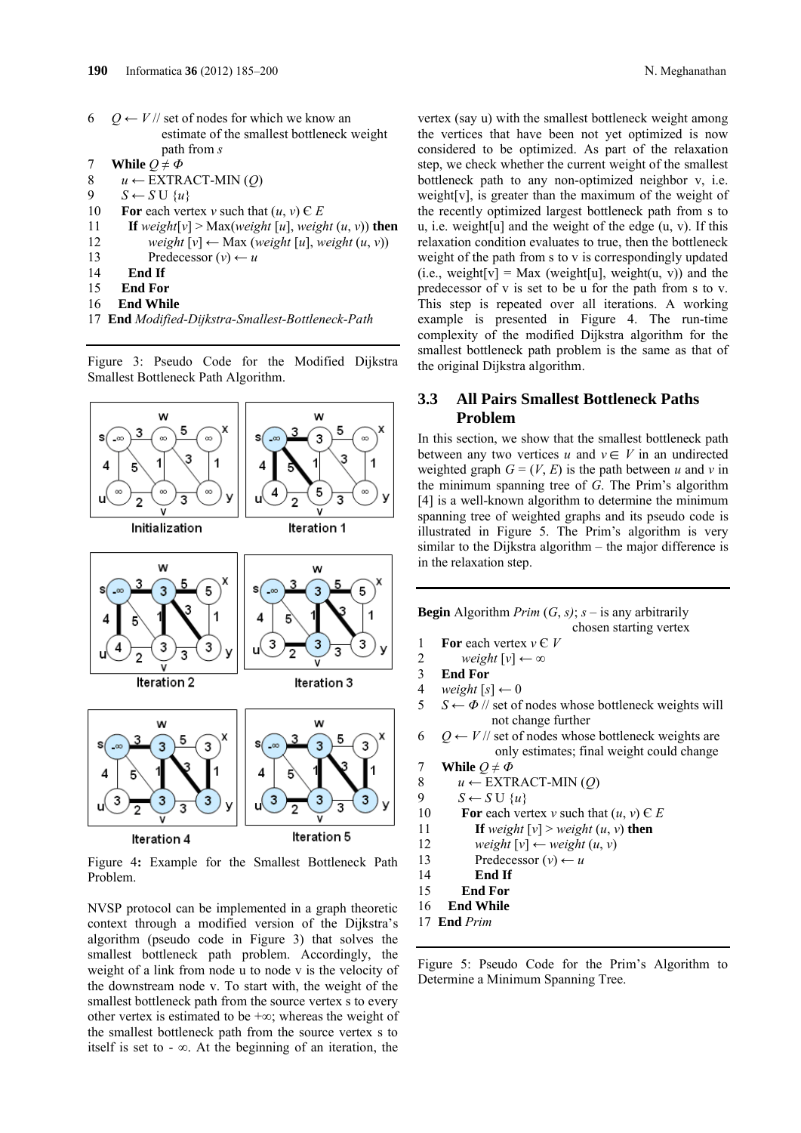- 6  $Q \leftarrow V$  // set of nodes for which we know an estimate of the smallest bottleneck weight path from *s*
- 7 **While**  $Q \neq \Phi$
- 8 *u ←* EXTRACT-MIN (*Q*)
- 9  $S \leftarrow S \cup \{u\}$
- 10 **For** each vertex *v* such that  $(u, v) \in E$
- 11 **If** weight[v] > Max(weight [u], weight  $(u, v)$ ) then
- 12 *weight*  $[v] \leftarrow \text{Max}$  (*weight*  $[u]$ , *weight*  $(u, v)$ )
- 13 Predecessor  $(v) \leftarrow u$
- 14 **End If**
- 15 **End For**
- 16 **End While**
- 17 **End** *Modified-Dijkstra-Smallest-Bottleneck-Path*

Figure 3: Pseudo Code for the Modified Dijkstra Smallest Bottleneck Path Algorithm.



Figure 4**:** Example for the Smallest Bottleneck Path Problem.

NVSP protocol can be implemented in a graph theoretic context through a modified version of the Dijkstra's algorithm (pseudo code in Figure 3) that solves the smallest bottleneck path problem. Accordingly, the weight of a link from node u to node v is the velocity of the downstream node v. To start with, the weight of the smallest bottleneck path from the source vertex s to every other vertex is estimated to be +∞; whereas the weight of the smallest bottleneck path from the source vertex s to itself is set to  $-\infty$ . At the beginning of an iteration, the vertex (say u) with the smallest bottleneck weight among the vertices that have been not yet optimized is now considered to be optimized. As part of the relaxation step, we check whether the current weight of the smallest bottleneck path to any non-optimized neighbor v, i.e. weight[v], is greater than the maximum of the weight of the recently optimized largest bottleneck path from s to u, i.e. weight[u] and the weight of the edge  $(u, v)$ . If this relaxation condition evaluates to true, then the bottleneck weight of the path from s to v is correspondingly updated (i.e., weight[v] = Max (weight[u], weight(u, v)) and the predecessor of v is set to be u for the path from s to v. This step is repeated over all iterations. A working example is presented in Figure 4. The run-time complexity of the modified Dijkstra algorithm for the smallest bottleneck path problem is the same as that of the original Dijkstra algorithm.

### **3.3 All Pairs Smallest Bottleneck Paths Problem**

In this section, we show that the smallest bottleneck path between any two vertices  $u$  and  $v \in V$  in an undirected weighted graph  $G = (V, E)$  is the path between *u* and *v* in the minimum spanning tree of *G*. The Prim's algorithm [4] is a well-known algorithm to determine the minimum spanning tree of weighted graphs and its pseudo code is illustrated in Figure 5. The Prim's algorithm is very similar to the Dijkstra algorithm – the major difference is in the relaxation step.

**Begin** Algorithm *Prim*  $(G, s)$ ;  $s -$  is any arbitrarily chosen starting vertex 1 **For** each vertex  $v \in V$ 

- 2 *weight*  $[v] \leftarrow \infty$
- 3**End For**
- 4 *weight*  $[s] \leftarrow 0$
- 5  $S \leftarrow \Phi$  // set of nodes whose bottleneck weights will not change further
- 6  $Q \leftarrow V$  // set of nodes whose bottleneck weights are only estimates; final weight could change
- 7 **While**  $Q \neq \Phi$
- 8  $u \leftarrow \text{EXTRACT-MIN}(Q)$
- 9  $S \leftarrow S \cup \{u\}$
- 10 **For** each vertex *v* such that  $(u, v) \in E$
- 11 **If** weight  $[v] > weight (u, v)$  then
- 12 *weight*  $[v] \leftarrow weight(u, v)$
- 13 Predecessor  $(v) \leftarrow u$
- 14 **End If**
- 15 **End For**
- 16 **End While**
- 17 **End** *Prim*

Figure 5: Pseudo Code for the Prim's Algorithm to Determine a Minimum Spanning Tree.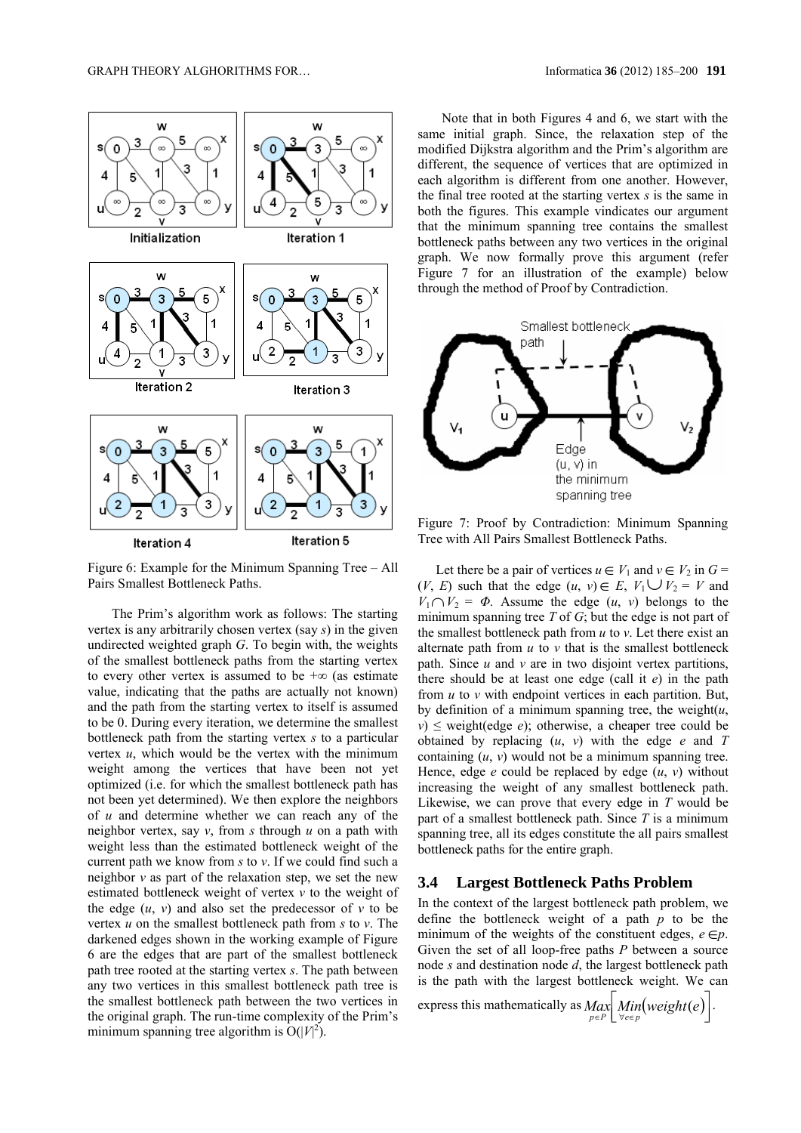

Figure 6: Example for the Minimum Spanning Tree – All Pairs Smallest Bottleneck Paths.

The Prim's algorithm work as follows: The starting vertex is any arbitrarily chosen vertex (say *s*) in the given undirected weighted graph *G*. To begin with, the weights of the smallest bottleneck paths from the starting vertex to every other vertex is assumed to be  $+\infty$  (as estimate value, indicating that the paths are actually not known) and the path from the starting vertex to itself is assumed to be 0. During every iteration, we determine the smallest bottleneck path from the starting vertex *s* to a particular vertex *u*, which would be the vertex with the minimum weight among the vertices that have been not yet optimized (i.e. for which the smallest bottleneck path has not been yet determined). We then explore the neighbors of *u* and determine whether we can reach any of the neighbor vertex, say *v*, from *s* through *u* on a path with weight less than the estimated bottleneck weight of the current path we know from *s* to *v*. If we could find such a neighbor *v* as part of the relaxation step, we set the new estimated bottleneck weight of vertex *v* to the weight of the edge  $(u, v)$  and also set the predecessor of  $v$  to be vertex *u* on the smallest bottleneck path from *s* to *v*. The darkened edges shown in the working example of Figure 6 are the edges that are part of the smallest bottleneck path tree rooted at the starting vertex *s*. The path between any two vertices in this smallest bottleneck path tree is the smallest bottleneck path between the two vertices in the original graph. The run-time complexity of the Prim's minimum spanning tree algorithm is  $O(|V|^2)$ .

Note that in both Figures 4 and 6, we start with the same initial graph. Since, the relaxation step of the modified Dijkstra algorithm and the Prim's algorithm are different, the sequence of vertices that are optimized in each algorithm is different from one another. However, the final tree rooted at the starting vertex *s* is the same in both the figures. This example vindicates our argument that the minimum spanning tree contains the smallest bottleneck paths between any two vertices in the original graph. We now formally prove this argument (refer Figure 7 for an illustration of the example) below through the method of Proof by Contradiction.



Figure 7: Proof by Contradiction: Minimum Spanning Tree with All Pairs Smallest Bottleneck Paths.

Let there be a pair of vertices  $u \in V_1$  and  $v \in V_2$  in  $G =$  $(V, E)$  such that the edge  $(u, v) \in E$ ,  $V_1 \cup V_2 = V$  and  $V_1 \cap V_2 = \Phi$ . Assume the edge  $(u, v)$  belongs to the minimum spanning tree *T* of *G*; but the edge is not part of the smallest bottleneck path from *u* to *v*. Let there exist an alternate path from *u* to *v* that is the smallest bottleneck path. Since *u* and *v* are in two disjoint vertex partitions, there should be at least one edge (call it *e*) in the path from *u* to *v* with endpoint vertices in each partition. But, by definition of a minimum spanning tree, the weight(*u*,  $v \geq v$  weight(edge *e*); otherwise, a cheaper tree could be obtained by replacing (*u*, *v*) with the edge *e* and *T*  containing  $(u, v)$  would not be a minimum spanning tree. Hence, edge  $e$  could be replaced by edge  $(u, v)$  without increasing the weight of any smallest bottleneck path. Likewise, we can prove that every edge in *T* would be part of a smallest bottleneck path. Since *T* is a minimum spanning tree, all its edges constitute the all pairs smallest bottleneck paths for the entire graph.

### **3.4 Largest Bottleneck Paths Problem**

In the context of the largest bottleneck path problem, we define the bottleneck weight of a path *p* to be the minimum of the weights of the constituent edges,  $e \in p$ . Given the set of all loop-free paths *P* between a source node *s* and destination node *d*, the largest bottleneck path is the path with the largest bottleneck weight. We can

express this mathematically as  $\lim_{p \in P} \left[ \lim_{\forall e \in p} (weight(e)) \right]$  $\left[\underset{p\in P}{Max} \right] \underset{\forall e\in p}{Min} (weight(e))$ .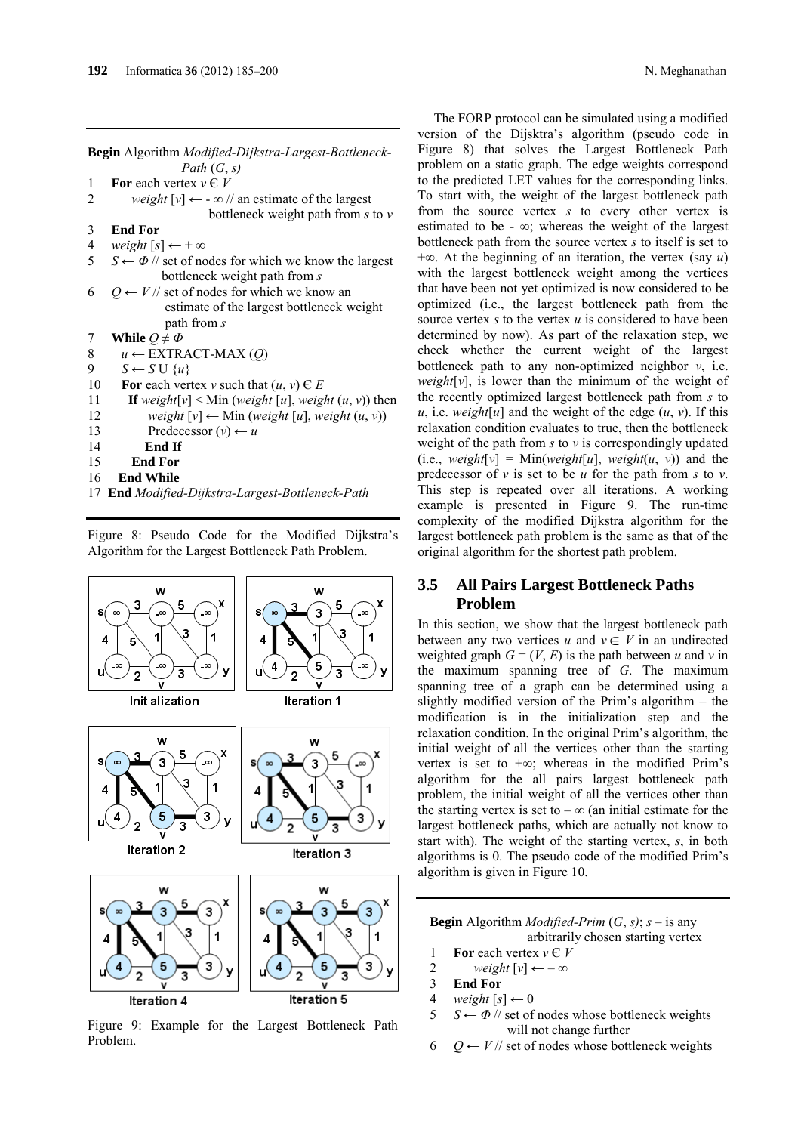**Begin** Algorithm *Modified-Dijkstra-Largest-Bottleneck- Path* (*G*, *s)*

1 **For** each vertex  $v \in V$ 

- 2 *weight*  $[v] \leftarrow -\infty$  // an estimate of the largest bottleneck weight path from *s* to *v* 3**End For**
- 4 *weight*  $[s] \leftarrow +\infty$
- 5  $S \leftarrow \Phi$  // set of nodes for which we know the largest bottleneck weight path from *s*
- 6  $Q \leftarrow V$  // set of nodes for which we know an estimate of the largest bottleneck weight path from *s*
- 7 **While**  $Q \neq \Phi$
- 8 *u ←* EXTRACT-MAX (*Q*)
- 9  $S \leftarrow S \cup \{u\}$
- 10 **For** each vertex *v* such that  $(u, v) \in E$
- 11 **If** weight[v] < Min (weight [u], weight  $(u, v)$ ) then
- 12 *weight*  $[v] \leftarrow \text{Min} (weight [u], weight (u, v))$
- 13 Predecessor  $(v) \leftarrow u$
- 14 **End If**
- 15 **End For**
- 16 **End While**
- 17 **End** *Modified-Dijkstra-Largest-Bottleneck-Path*

The FORP protocol can be simulated using a modified version of the Dijsktra's algorithm (pseudo code in Figure 8) that solves the Largest Bottleneck Path problem on a static graph. The edge weights correspond to the predicted LET values for the corresponding links. To start with, the weight of the largest bottleneck path from the source vertex *s* to every other vertex is estimated to be -  $\infty$ ; whereas the weight of the largest bottleneck path from the source vertex *s* to itself is set to +∞. At the beginning of an iteration, the vertex (say *u*) with the largest bottleneck weight among the vertices that have been not yet optimized is now considered to be optimized (i.e., the largest bottleneck path from the source vertex *s* to the vertex *u* is considered to have been determined by now). As part of the relaxation step, we check whether the current weight of the largest bottleneck path to any non-optimized neighbor *v*, i.e. *weight*[ $\nu$ ], is lower than the minimum of the weight of the recently optimized largest bottleneck path from *s* to *u*, i.e. *weight*[ $u$ ] and the weight of the edge  $(u, v)$ . If this relaxation condition evaluates to true, then the bottleneck weight of the path from *s* to *v* is correspondingly updated  $(i.e., weight[v] = Min(weight[u], weight(u, v))$  and the predecessor of *v* is set to be *u* for the path from *s* to *v*. This step is repeated over all iterations. A working example is presented in Figure 9. The run-time complexity of the modified Dijkstra algorithm for the largest bottleneck path problem is the same as that of the original algorithm for the shortest path problem.

### **3.5 All Pairs Largest Bottleneck Paths Problem**

In this section, we show that the largest bottleneck path between any two vertices  $u$  and  $v \in V$  in an undirected weighted graph  $G = (V, E)$  is the path between *u* and *v* in the maximum spanning tree of *G*. The maximum spanning tree of a graph can be determined using a slightly modified version of the Prim's algorithm – the modification is in the initialization step and the relaxation condition. In the original Prim's algorithm, the initial weight of all the vertices other than the starting vertex is set to +∞; whereas in the modified Prim's algorithm for the all pairs largest bottleneck path problem, the initial weight of all the vertices other than the starting vertex is set to –  $\infty$  (an initial estimate for the largest bottleneck paths, which are actually not know to start with). The weight of the starting vertex, *s*, in both algorithms is 0. The pseudo code of the modified Prim's algorithm is given in Figure 10.

**Begin** Algorithm *Modified-Prim*  $(G, s)$ ;  $s -$  is any arbitrarily chosen starting vertex

- 1 **For** each vertex  $v \in V$
- 2 *weight*  $[v] \leftarrow -\infty$
- 3**End For**
- 4 *weight*  $[s] \leftarrow 0$
- 5  $S \leftarrow \Phi$  // set of nodes whose bottleneck weights will not change further
- 6  $Q$  ← *V* // set of nodes whose bottleneck weights

Figure 8: Pseudo Code for the Modified Dijkstra's Algorithm for the Largest Bottleneck Path Problem.



Figure 9: Example for the Largest Bottleneck Path Problem.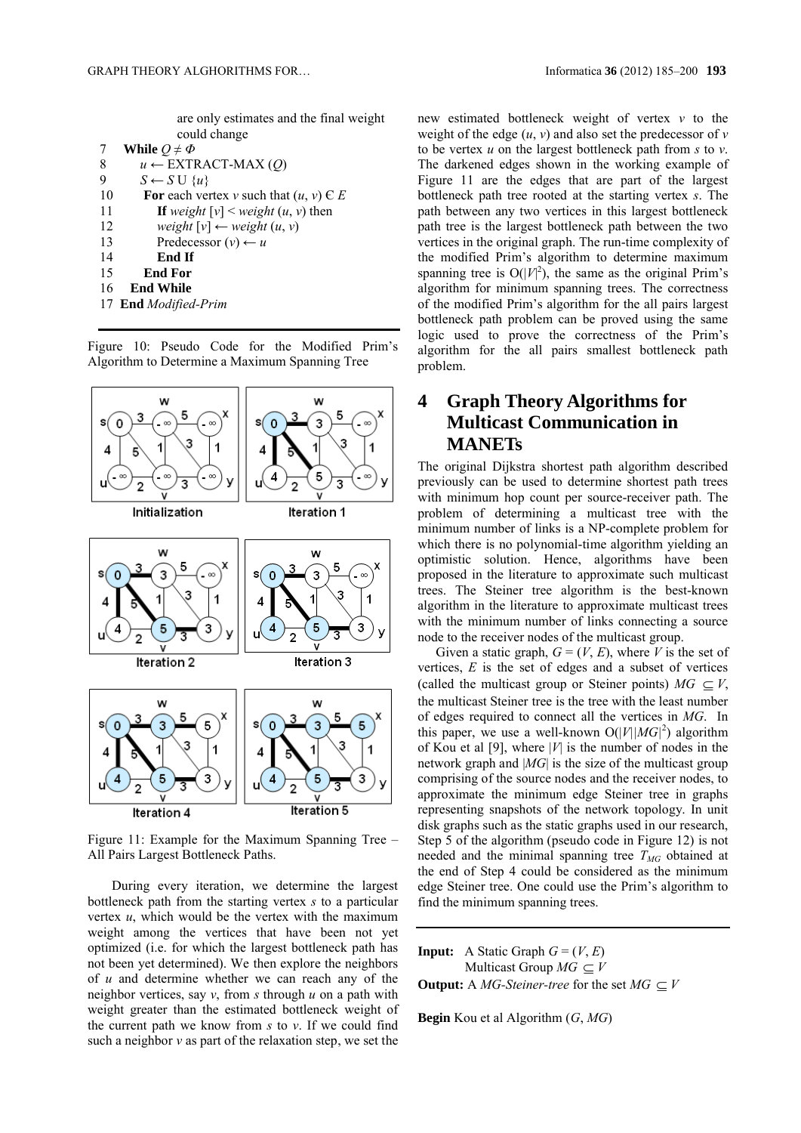are only estimates and the final weight could change

|    | While $Q \neq \Phi$                        |
|----|--------------------------------------------|
| 8  | $u \leftarrow$ EXTRACT-MAX (Q)             |
| 9  | $S \leftarrow S \cup \{u\}$                |
| 10 | For each vertex v such that $(u, v) \in E$ |
| 11 | If weight $[v]$ < weight $(u, v)$ then     |
| 12 | weight $[v] \leftarrow weight(u, v)$       |
| 13 | Predecessor $(v) \leftarrow u$             |
| 14 | End If                                     |
| 15 | End For                                    |
| 16 | <b>End While</b>                           |
|    | 17 End Modified-Prim                       |

Figure 10: Pseudo Code for the Modified Prim's Algorithm to Determine a Maximum Spanning Tree



Figure 11: Example for the Maximum Spanning Tree – All Pairs Largest Bottleneck Paths.

During every iteration, we determine the largest bottleneck path from the starting vertex *s* to a particular vertex *u*, which would be the vertex with the maximum weight among the vertices that have been not yet optimized (i.e. for which the largest bottleneck path has not been yet determined). We then explore the neighbors of *u* and determine whether we can reach any of the neighbor vertices, say *v*, from *s* through *u* on a path with weight greater than the estimated bottleneck weight of the current path we know from *s* to *v*. If we could find such a neighbor *v* as part of the relaxation step, we set the new estimated bottleneck weight of vertex *v* to the weight of the edge  $(u, v)$  and also set the predecessor of  $v$ to be vertex *u* on the largest bottleneck path from *s* to *v*. The darkened edges shown in the working example of Figure 11 are the edges that are part of the largest bottleneck path tree rooted at the starting vertex *s*. The path between any two vertices in this largest bottleneck path tree is the largest bottleneck path between the two vertices in the original graph. The run-time complexity of the modified Prim's algorithm to determine maximum spanning tree is  $O(|V|^2)$ , the same as the original Prim's algorithm for minimum spanning trees. The correctness of the modified Prim's algorithm for the all pairs largest bottleneck path problem can be proved using the same logic used to prove the correctness of the Prim's algorithm for the all pairs smallest bottleneck path problem.

# **4 Graph Theory Algorithms for Multicast Communication in MANETs**

The original Dijkstra shortest path algorithm described previously can be used to determine shortest path trees with minimum hop count per source-receiver path. The problem of determining a multicast tree with the minimum number of links is a NP-complete problem for which there is no polynomial-time algorithm yielding an optimistic solution. Hence, algorithms have been proposed in the literature to approximate such multicast trees. The Steiner tree algorithm is the best-known algorithm in the literature to approximate multicast trees with the minimum number of links connecting a source node to the receiver nodes of the multicast group.

Given a static graph,  $G = (V, E)$ , where *V* is the set of vertices, *E* is the set of edges and a subset of vertices (called the multicast group or Steiner points)  $MG \subset V$ , the multicast Steiner tree is the tree with the least number of edges required to connect all the vertices in *MG*. In this paper, we use a well-known  $O(|V| |MG|^2)$  algorithm of Kou et al [9], where |*V*| is the number of nodes in the network graph and |*MG*| is the size of the multicast group comprising of the source nodes and the receiver nodes, to approximate the minimum edge Steiner tree in graphs representing snapshots of the network topology. In unit disk graphs such as the static graphs used in our research, Step 5 of the algorithm (pseudo code in Figure 12) is not needed and the minimal spanning tree  $T_{MG}$  obtained at the end of Step 4 could be considered as the minimum edge Steiner tree. One could use the Prim's algorithm to find the minimum spanning trees.

**Input:** A Static Graph  $G = (V, E)$ Multicast Group  $MG \subseteq V$ **Output:** A *MG-Steiner-tree* for the set  $MG \subseteq V$ 

**Begin** Kou et al Algorithm (*G*, *MG*)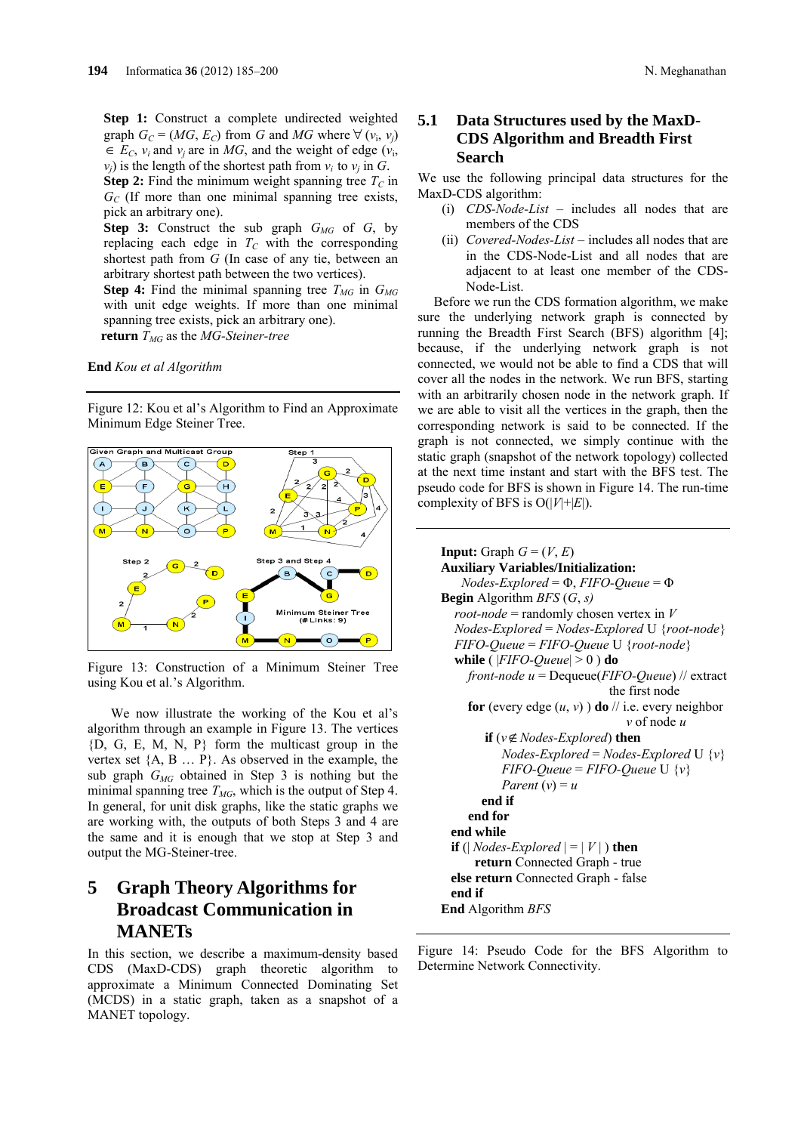**Step 1:** Construct a complete undirected weighted graph  $G_C = (MG, E_C)$  from *G* and *MG* where  $\forall (v_i, v_j)$  $\in E_C$ ,  $v_i$  and  $v_j$  are in *MG*, and the weight of edge  $(v_i)$ ,  $v_i$ ) is the length of the shortest path from  $v_i$  to  $v_i$  in *G*.

**Step 2:** Find the minimum weight spanning tree  $T_c$  in  $G_{C}$  (If more than one minimal spanning tree exists, pick an arbitrary one).

**Step 3:** Construct the sub graph  $G_{MG}$  of  $G$ , by replacing each edge in  $T_c$  with the corresponding shortest path from *G* (In case of any tie, between an arbitrary shortest path between the two vertices).

**Step 4:** Find the minimal spanning tree  $T_{MG}$  in  $G_{MG}$ with unit edge weights. If more than one minimal spanning tree exists, pick an arbitrary one).  **return**  $T_{MG}$  as the *MG-Steiner-tree* 

**End** *Kou et al Algorithm*

Figure 12: Kou et al's Algorithm to Find an Approximate Minimum Edge Steiner Tree.

# $\mathbf{B}$ ົດ **N** Step 3 and Step 4 Step<sub>2</sub> Minimum Steiner<br>(5 : Elinks) ō

Figure 13: Construction of a Minimum Steiner Tree using Kou et al.'s Algorithm.

We now illustrate the working of the Kou et al's algorithm through an example in Figure 13. The vertices {D, G, E, M, N, P} form the multicast group in the vertex set  ${A, B \ldots P}$ . As observed in the example, the sub graph  $G_{MG}$  obtained in Step 3 is nothing but the minimal spanning tree  $T_{MG}$ , which is the output of Step 4. In general, for unit disk graphs, like the static graphs we are working with, the outputs of both Steps 3 and 4 are the same and it is enough that we stop at Step 3 and output the MG-Steiner-tree.

# **5 Graph Theory Algorithms for Broadcast Communication in MANETs**

In this section, we describe a maximum-density based CDS (MaxD-CDS) graph theoretic algorithm to approximate a Minimum Connected Dominating Set (MCDS) in a static graph, taken as a snapshot of a MANET topology.

### **5.1 Data Structures used by the MaxD-CDS Algorithm and Breadth First Search**

We use the following principal data structures for the MaxD-CDS algorithm:

- (i) *CDS-Node-List* includes all nodes that are members of the CDS
- (ii) *Covered-Nodes-List* includes all nodes that are in the CDS-Node-List and all nodes that are adjacent to at least one member of the CDS-Node-List.

Before we run the CDS formation algorithm, we make sure the underlying network graph is connected by running the Breadth First Search (BFS) algorithm [4]; because, if the underlying network graph is not connected, we would not be able to find a CDS that will cover all the nodes in the network. We run BFS, starting with an arbitrarily chosen node in the network graph. If we are able to visit all the vertices in the graph, then the corresponding network is said to be connected. If the graph is not connected, we simply continue with the static graph (snapshot of the network topology) collected at the next time instant and start with the BFS test. The pseudo code for BFS is shown in Figure 14. The run-time complexity of BFS is  $O(|V|+|E|)$ .

```
Input: Graph G = (V, E)Auxiliary Variables/Initialization:
    Nodes-Explored = Φ, FIFO-Queue = Φ
Begin Algorithm BFS (G, s)
   root-node = randomly chosen vertex in V
   Nodes-Explored = Nodes-Explored U {root-node}
   FIFO-Queue = FIFO-Queue U {root-node}
  while (|FIFO-Queue| > 0) do
     front-node u = Dequeue(FIFO-Queue) // extract 
                               the first node
    for (every edge (u, v)) do // i.e. every neighbor
                                   v of node u
        if (v \notin Nodes-Explored) then
            Nodes-Explored = Nodes-Explored U {v}
           FIFO-Queue = FIFO-Queue U \{v\}Parent (v) = u end if
     end for
  end while
 if (\vert Nodes-Explored \vert = \vert V\vert ) then
       return Connected Graph - true
  else return Connected Graph - false
  end if
End Algorithm BFS
```
Figure 14: Pseudo Code for the BFS Algorithm to Determine Network Connectivity.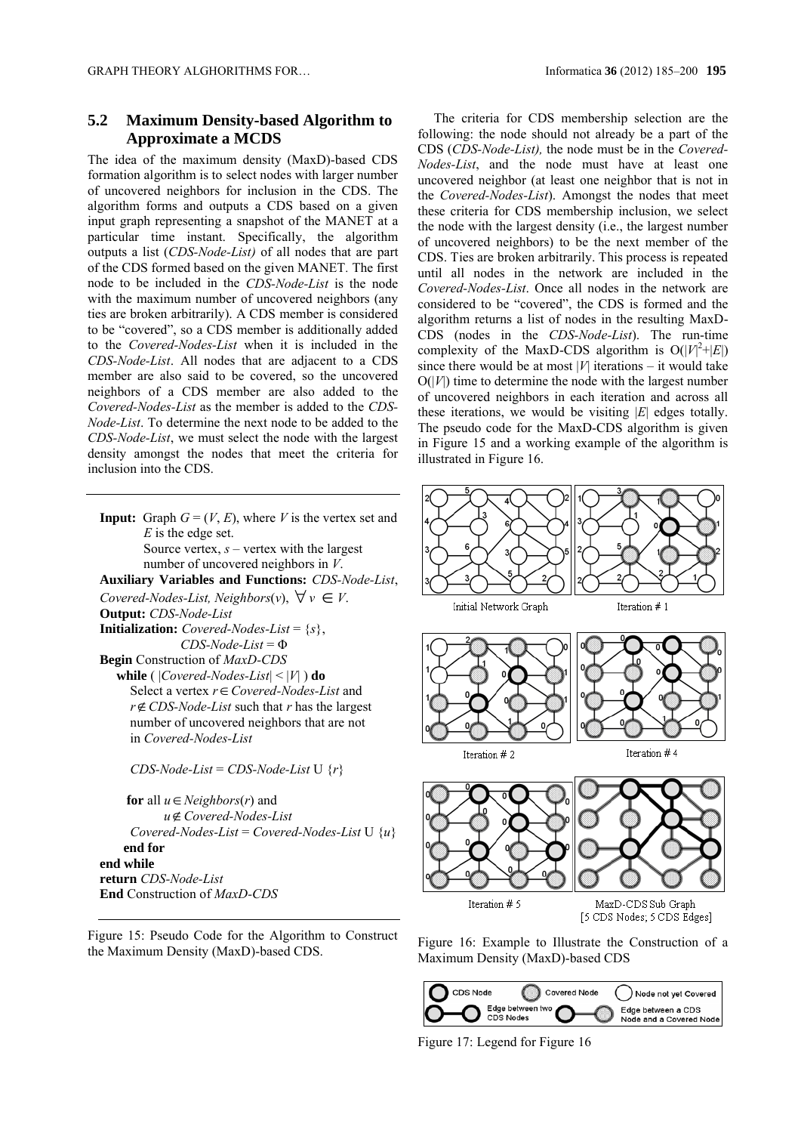### **5.2 Maximum Density-based Algorithm to Approximate a MCDS**

The idea of the maximum density (MaxD)-based CDS formation algorithm is to select nodes with larger number of uncovered neighbors for inclusion in the CDS. The algorithm forms and outputs a CDS based on a given input graph representing a snapshot of the MANET at a particular time instant. Specifically, the algorithm outputs a list (*CDS-Node-List)* of all nodes that are part of the CDS formed based on the given MANET*.* The first node to be included in the *CDS-Node-List* is the node with the maximum number of uncovered neighbors (any ties are broken arbitrarily). A CDS member is considered to be "covered", so a CDS member is additionally added to the *Covered-Nodes-List* when it is included in the *CDS-Node-List*. All nodes that are adjacent to a CDS member are also said to be covered, so the uncovered neighbors of a CDS member are also added to the *Covered-Nodes-List* as the member is added to the *CDS-Node-List*. To determine the next node to be added to the *CDS-Node-List*, we must select the node with the largest density amongst the nodes that meet the criteria for inclusion into the CDS.

**Input:** Graph  $G = (V, E)$ , where *V* is the vertex set and *E* is the edge set. Source vertex, *s* – vertex with the largest number of uncovered neighbors in *V*. **Auxiliary Variables and Functions:** *CDS-Node-List*, *Covered-Nodes-List, Neighbors* $(v)$ ,  $\forall v \in V$ . **Output:** *CDS-Node-List* **Initialization:** *Covered-Nodes-List* =  $\{s\}$ , *CDS-Node-List* = Φ **Begin** Construction of *MaxD-CDS*   **while** ( |*Covered-Nodes-List*| < |*V*| ) **do** Select a vertex *rCovered-Nodes-List* and *rCDS-Node-List* such that *r* has the largest number of uncovered neighbors that are not in *Covered-Nodes-List*

 *CDS-Node-List* = *CDS-Node-List* U {*r*}

**for** all  $u \in Neighbors(r)$  and *uCovered-Nodes-List Covered-Nodes-List* = *Covered-Nodes-List* U {*u*} **end for end while return** *CDS-Node-List* **End** Construction of *MaxD-CDS*



The criteria for CDS membership selection are the following: the node should not already be a part of the CDS (*CDS-Node-List),* the node must be in the *Covered-Nodes-List*, and the node must have at least one uncovered neighbor (at least one neighbor that is not in the *Covered-Nodes-List*). Amongst the nodes that meet these criteria for CDS membership inclusion, we select the node with the largest density (i.e., the largest number of uncovered neighbors) to be the next member of the CDS. Ties are broken arbitrarily. This process is repeated until all nodes in the network are included in the *Covered-Nodes-List*. Once all nodes in the network are considered to be "covered", the CDS is formed and the algorithm returns a list of nodes in the resulting MaxD-CDS (nodes in the *CDS-Node-List*). The run-time complexity of the MaxD-CDS algorithm is  $O(|V|^2 + |E|)$ since there would be at most |*V*| iterations – it would take  $O(|V|)$  time to determine the node with the largest number of uncovered neighbors in each iteration and across all these iterations, we would be visiting |*E*| edges totally. The pseudo code for the MaxD-CDS algorithm is given in Figure 15 and a working example of the algorithm is illustrated in Figure 16.



Figure 16: Example to Illustrate the Construction of a Maximum Density (MaxD)-based CDS



Figure 17: Legend for Figure 16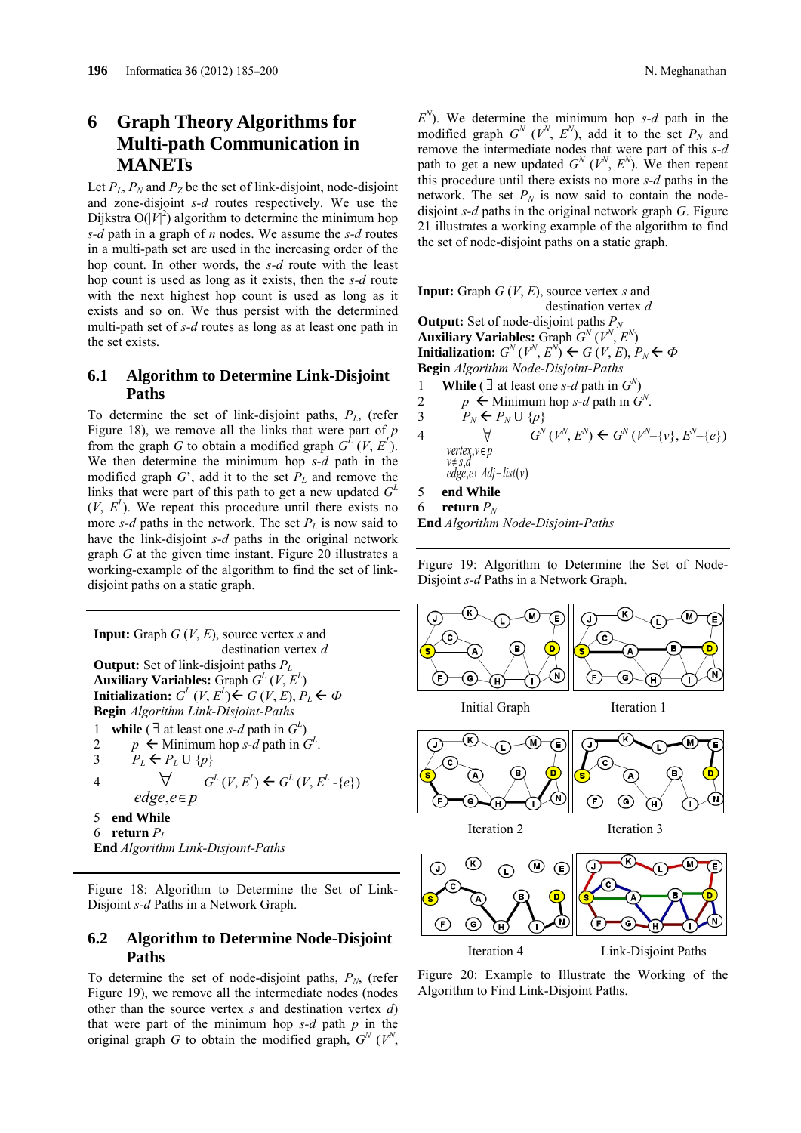# **6 Graph Theory Algorithms for Multi-path Communication in MANETs**

Let  $P_L$ ,  $P_N$  and  $P_Z$  be the set of link-disjoint, node-disjoint and zone-disjoint *s-d* routes respectively. We use the Dijkstra  $O(|V|^2)$  algorithm to determine the minimum hop *s-d* path in a graph of *n* nodes. We assume the *s-d* routes in a multi-path set are used in the increasing order of the hop count. In other words, the *s-d* route with the least hop count is used as long as it exists, then the *s-d* route with the next highest hop count is used as long as it exists and so on. We thus persist with the determined multi-path set of *s-d* routes as long as at least one path in the set exists.

### **6.1 Algorithm to Determine Link-Disjoint Paths**

To determine the set of link-disjoint paths, *PL*, (refer Figure 18), we remove all the links that were part of *p* from the graph *G* to obtain a modified graph  $G^L(V, E^L)$ . We then determine the minimum hop *s-d* path in the modified graph  $G'$ , add it to the set  $P_L$  and remove the links that were part of this path to get a new updated  $G<sup>L</sup>$  $(V, E<sup>L</sup>)$ . We repeat this procedure until there exists no more  $s-d$  paths in the network. The set  $P<sub>L</sub>$  is now said to have the link-disjoint *s-d* paths in the original network graph *G* at the given time instant. Figure 20 illustrates a working-example of the algorithm to find the set of linkdisjoint paths on a static graph.

**Input:** Graph *G* (*V*, *E*), source vertex *s* and destination vertex *d* **Output:** Set of link-disjoint paths *PL* **Auxiliary Variables:** Graph  $G^L$  (*V*,  $E^L$ ) **Initialization:**  $G^L(V, E^L) \leftarrow G(V, E), P_L \leftarrow \Phi$ **Begin** *Algorithm Link-Disjoint-Paths* 1 **while**  $(\exists$  at least one *s-d* path in  $G^L$ ) 2 *p*  $\leftarrow$  Minimum hop *s-d* path in  $G^L$ . 3  $P_L \leftarrow P_L \cup \{p\}$ 4  $\forall$  $edge, e \in p$  $G^L(V, E^L) \leftarrow G^L(V, E^L - \{e\})$ 5 **end While**  6 **return**  $P_L$ **End** *Algorithm Link-Disjoint-Paths*

Figure 18: Algorithm to Determine the Set of Link-Disjoint *s-d* Paths in a Network Graph.

### **6.2 Algorithm to Determine Node-Disjoint Paths**

To determine the set of node-disjoint paths,  $P_N$ , (refer Figure 19), we remove all the intermediate nodes (nodes other than the source vertex *s* and destination vertex *d*) that were part of the minimum hop *s-d* path *p* in the original graph *G* to obtain the modified graph,  $G^N$  ( $V^N$ ,

 $E^N$ ). We determine the minimum hop *s-d* path in the modified graph  $G^N$  ( $V^N$ ,  $E^N$ ), add it to the set  $P_N$  and remove the intermediate nodes that were part of this *s-d* path to get a new updated  $G^N$  ( $V^N$ ,  $E^N$ ). We then repeat this procedure until there exists no more *s-d* paths in the network. The set  $P_N$  is now said to contain the nodedisjoint *s-d* paths in the original network graph *G*. Figure 21 illustrates a working example of the algorithm to find the set of node-disjoint paths on a static graph.

**Input:** Graph *G* (*V*, *E*), source vertex *s* and destination vertex *d* **Output:** Set of node-disjoint paths  $P_N$ Auxiliary Variables: Graph  $G^N(V^N, E^N)$ **Initialization:**  $G^N(V^N, E^N) \leftarrow G(V, E), P_N \leftarrow \Phi$ **Begin** *Algorithm Node-Disjoint-Paths* 1 **While** ( $\exists$  at least one *s-d* path in  $G^N$ ) 2 *p*  $\leftarrow$  Minimum hop *s-d* path in  $G^N$ . 3  $P_N \leftarrow P_N \cup \{p\}$ 4  $\forall$  *vertex v p* , *v*≠ *s*,*d edge e Adj list v* , ( )  $G^{N}(V^{N}, E^{N}) \leftarrow G^{N}(V^{N}-\{v\}, E^{N}-\{e\})$ 5 **end While** 

6 **return**  $P_N$ 

**End** *Algorithm Node-Disjoint-Paths*

Figure 19: Algorithm to Determine the Set of Node-Disjoint *s-d* Paths in a Network Graph.



Figure 20: Example to Illustrate the Working of the Algorithm to Find Link-Disjoint Paths.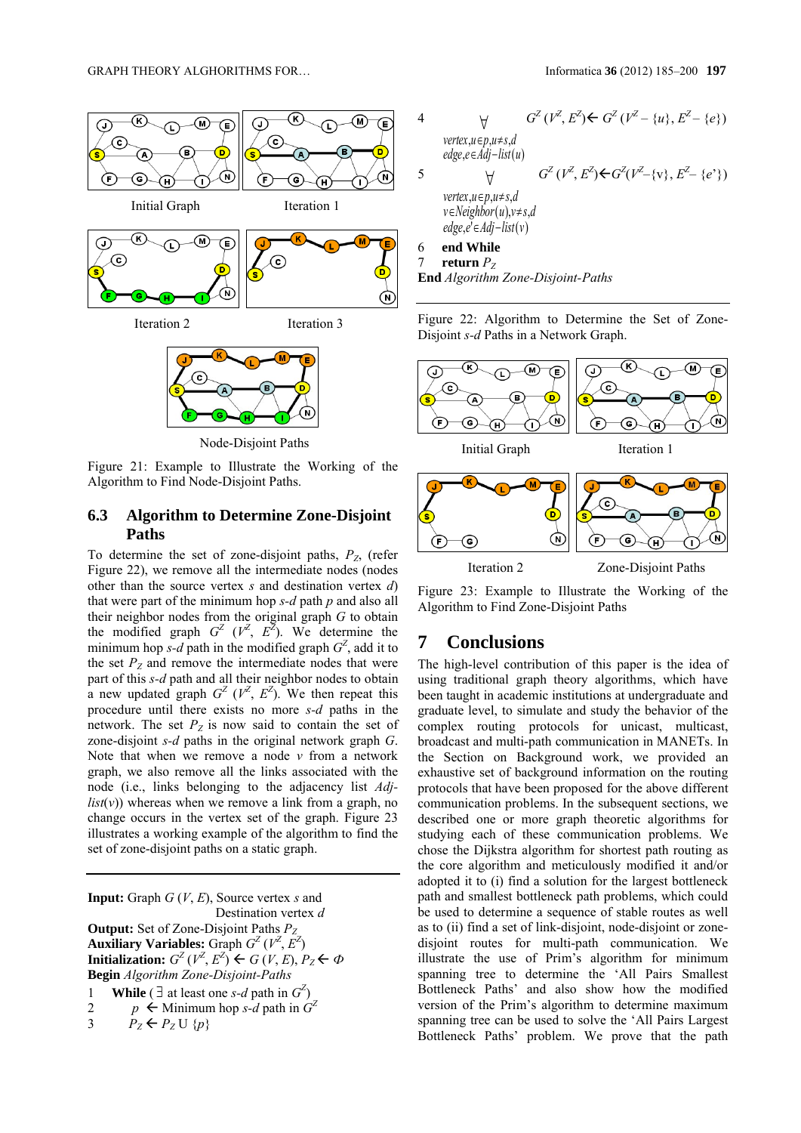

Node-Disjoint Paths

Figure 21: Example to Illustrate the Working of the Algorithm to Find Node-Disjoint Paths.

### **6.3 Algorithm to Determine Zone-Disjoint Paths**

To determine the set of zone-disjoint paths,  $P_{Z}$ , (refer Figure 22), we remove all the intermediate nodes (nodes other than the source vertex *s* and destination vertex *d*) that were part of the minimum hop *s-d* path *p* and also all their neighbor nodes from the original graph *G* to obtain the modified graph  $G^Z$  ( $V^Z$ ,  $E^{\bar{Z}}$ ). We determine the minimum hop *s-d* path in the modified graph  $G^Z$ , add it to the set  $P_Z$  and remove the intermediate nodes that were part of this *s-d* path and all their neighbor nodes to obtain a new updated graph  $G^Z$  ( $V^Z$ ,  $E^Z$ ). We then repeat this procedure until there exists no more *s-d* paths in the network. The set  $P_Z$  is now said to contain the set of zone-disjoint *s-d* paths in the original network graph *G*. Note that when we remove a node *v* from a network graph, we also remove all the links associated with the node (i.e., links belonging to the adjacency list *Adj* $list(v)$ ) whereas when we remove a link from a graph, no change occurs in the vertex set of the graph. Figure 23 illustrates a working example of the algorithm to find the set of zone-disjoint paths on a static graph.

**Input:** Graph *G* (*V*, *E*), Source vertex *s* and Destination vertex *d* **Output:** Set of Zone-Disjoint Paths *PZ* **Auxiliary Variables:** Graph  $G^Z(V^Z, E^Z)$ **Initialization:**  $G^Z(V^Z, E^Z) \leftarrow G(V, E), P_Z \leftarrow \Phi$ **Begin** *Algorithm Zone-Disjoint-Paths* 1 **While** ( $\exists$  at least one *s-d* path in  $G^Z$ ) 2 *p*  $\leftarrow$  Minimum hop *s-d* path in  $G^2$ 3  $P_z \leftarrow P_z \cup \{p\}$ 

4 
$$
\forall \quad G^Z(V^Z, E^Z) \leftarrow G^Z(V^Z - \{u\}, E^Z - \{e\})
$$
  
\nvertex, u \in p, u \neq s, d  
\nedge, e \in Adj-list(u)  
\n5 
$$
\forall \quad G^Z(V^Z, E^Z) \leftarrow G^Z(V^Z - \{v\}, E^Z - \{e^*\})
$$
  
\nvertex, u \in p, u \neq s, d  
\nv \in Neighbor(u), v \neq s, d  
\nedge, e^{\{e\}} \in Adj-list(v)  
\n6 **end While**

7 **return**  $P_Z$ **End** *Algorithm Zone-Disjoint-Paths*

Figure 22: Algorithm to Determine the Set of Zone-Disjoint *s-d* Paths in a Network Graph.



Figure 23: Example to Illustrate the Working of the Algorithm to Find Zone-Disjoint Paths

# **7 Conclusions**

The high-level contribution of this paper is the idea of using traditional graph theory algorithms, which have been taught in academic institutions at undergraduate and graduate level, to simulate and study the behavior of the complex routing protocols for unicast, multicast, broadcast and multi-path communication in MANETs. In the Section on Background work, we provided an exhaustive set of background information on the routing protocols that have been proposed for the above different communication problems. In the subsequent sections, we described one or more graph theoretic algorithms for studying each of these communication problems. We chose the Dijkstra algorithm for shortest path routing as the core algorithm and meticulously modified it and/or adopted it to (i) find a solution for the largest bottleneck path and smallest bottleneck path problems, which could be used to determine a sequence of stable routes as well as to (ii) find a set of link-disjoint, node-disjoint or zonedisjoint routes for multi-path communication. We illustrate the use of Prim's algorithm for minimum spanning tree to determine the 'All Pairs Smallest Bottleneck Paths' and also show how the modified version of the Prim's algorithm to determine maximum spanning tree can be used to solve the 'All Pairs Largest Bottleneck Paths' problem. We prove that the path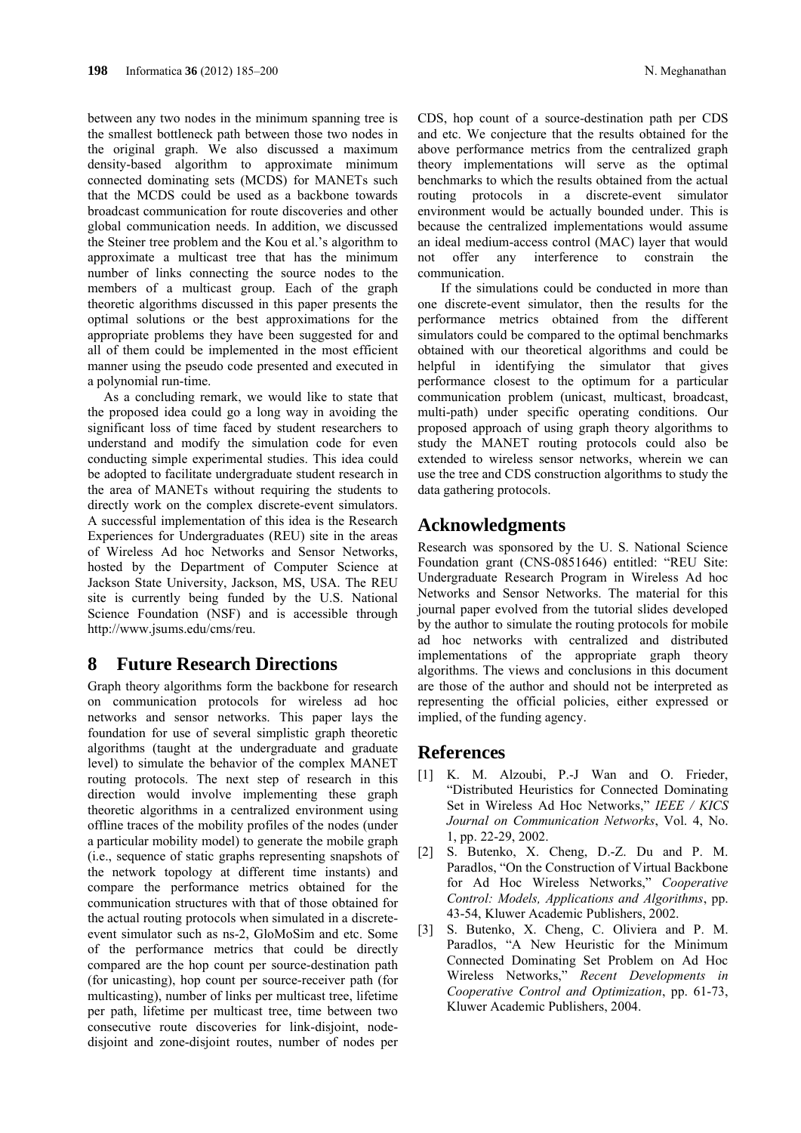between any two nodes in the minimum spanning tree is the smallest bottleneck path between those two nodes in the original graph. We also discussed a maximum density-based algorithm to approximate minimum connected dominating sets (MCDS) for MANETs such that the MCDS could be used as a backbone towards broadcast communication for route discoveries and other global communication needs. In addition, we discussed the Steiner tree problem and the Kou et al.'s algorithm to approximate a multicast tree that has the minimum number of links connecting the source nodes to the members of a multicast group. Each of the graph theoretic algorithms discussed in this paper presents the optimal solutions or the best approximations for the appropriate problems they have been suggested for and all of them could be implemented in the most efficient manner using the pseudo code presented and executed in a polynomial run-time.

As a concluding remark, we would like to state that the proposed idea could go a long way in avoiding the significant loss of time faced by student researchers to understand and modify the simulation code for even conducting simple experimental studies. This idea could be adopted to facilitate undergraduate student research in the area of MANETs without requiring the students to directly work on the complex discrete-event simulators. A successful implementation of this idea is the Research Experiences for Undergraduates (REU) site in the areas of Wireless Ad hoc Networks and Sensor Networks, hosted by the Department of Computer Science at Jackson State University, Jackson, MS, USA. The REU site is currently being funded by the U.S. National Science Foundation (NSF) and is accessible through http://www.jsums.edu/cms/reu.

### **8 Future Research Directions**

Graph theory algorithms form the backbone for research on communication protocols for wireless ad hoc networks and sensor networks. This paper lays the foundation for use of several simplistic graph theoretic algorithms (taught at the undergraduate and graduate level) to simulate the behavior of the complex MANET routing protocols. The next step of research in this direction would involve implementing these graph theoretic algorithms in a centralized environment using offline traces of the mobility profiles of the nodes (under a particular mobility model) to generate the mobile graph (i.e., sequence of static graphs representing snapshots of the network topology at different time instants) and compare the performance metrics obtained for the communication structures with that of those obtained for the actual routing protocols when simulated in a discreteevent simulator such as ns-2, GloMoSim and etc. Some of the performance metrics that could be directly compared are the hop count per source-destination path (for unicasting), hop count per source-receiver path (for multicasting), number of links per multicast tree, lifetime per path, lifetime per multicast tree, time between two consecutive route discoveries for link-disjoint, nodedisjoint and zone-disjoint routes, number of nodes per CDS, hop count of a source-destination path per CDS and etc. We conjecture that the results obtained for the above performance metrics from the centralized graph theory implementations will serve as the optimal benchmarks to which the results obtained from the actual routing protocols in a discrete-event simulator environment would be actually bounded under. This is because the centralized implementations would assume an ideal medium-access control (MAC) layer that would not offer any interference to constrain the communication.

If the simulations could be conducted in more than one discrete-event simulator, then the results for the performance metrics obtained from the different simulators could be compared to the optimal benchmarks obtained with our theoretical algorithms and could be helpful in identifying the simulator that gives performance closest to the optimum for a particular communication problem (unicast, multicast, broadcast, multi-path) under specific operating conditions. Our proposed approach of using graph theory algorithms to study the MANET routing protocols could also be extended to wireless sensor networks, wherein we can use the tree and CDS construction algorithms to study the data gathering protocols.

# **Acknowledgments**

Research was sponsored by the U. S. National Science Foundation grant (CNS-0851646) entitled: "REU Site: Undergraduate Research Program in Wireless Ad hoc Networks and Sensor Networks. The material for this journal paper evolved from the tutorial slides developed by the author to simulate the routing protocols for mobile ad hoc networks with centralized and distributed implementations of the appropriate graph theory algorithms. The views and conclusions in this document are those of the author and should not be interpreted as representing the official policies, either expressed or implied, of the funding agency.

### **References**

- [1] K. M. Alzoubi, P.-J Wan and O. Frieder, "Distributed Heuristics for Connected Dominating Set in Wireless Ad Hoc Networks," *IEEE / KICS Journal on Communication Networks*, Vol. 4, No. 1, pp. 22-29, 2002.
- [2] S. Butenko, X. Cheng, D.-Z. Du and P. M. Paradlos, "On the Construction of Virtual Backbone for Ad Hoc Wireless Networks," *Cooperative Control: Models, Applications and Algorithms*, pp. 43-54, Kluwer Academic Publishers, 2002.
- [3] S. Butenko, X. Cheng, C. Oliviera and P. M. Paradlos, "A New Heuristic for the Minimum Connected Dominating Set Problem on Ad Hoc Wireless Networks," *Recent Developments in Cooperative Control and Optimization*, pp. 61-73, Kluwer Academic Publishers, 2004.